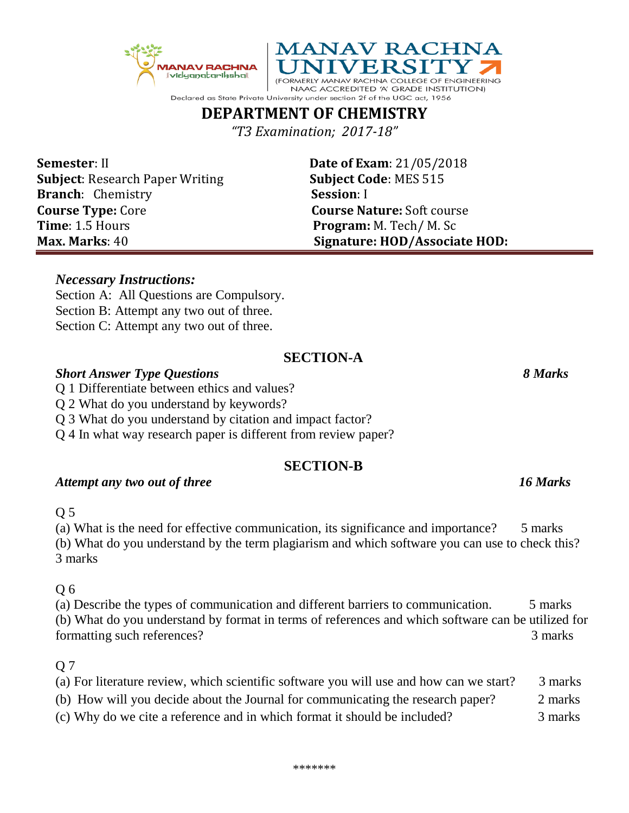*"T3 Examination; 2017-18"* **Semester**: II **Date of Exam**: 21/05/2018 **Subject**: Research Paper Writing **Subject Code**: MES 515

**MANAV RACHNA** 

(FORMERLY MANAV RACHNA COLLEGE OF ENGINEERING NAAC ACCREDITED 'A' GRADE INSTITUTION)

**Max. Marks**: 40 **Signature: HOD/Associate HOD:**

## *Necessary Instructions:*

Section A: All Questions are Compulsory. Section B: Attempt any two out of three. Section C: Attempt any two out of three.

## **SECTION-A**

### *Short Answer Type Questions 8 Marks*

- Q 1 Differentiate between ethics and values?
- Q 2 What do you understand by keywords?
- Q 3 What do you understand by citation and impact factor?
- Q 4 In what way research paper is different from review paper?

## **SECTION-B**

## Attempt any two out of three 16<sup>*Marks*</sup>

## Q 5

(a) What is the need for effective communication, its significance and importance? 5 marks (b) What do you understand by the term plagiarism and which software you can use to check this? 3 marks

#### Q 6

(a) Describe the types of communication and different barriers to communication. 5 marks (b) What do you understand by format in terms of references and which software can be utilized for formatting such references? 3 marks

## Q 7

- (a) For literature review, which scientific software you will use and how can we start? 3 marks (b) How will you decide about the Journal for communicating the research paper? 2 marks
- (c) Why do we cite a reference and in which format it should be included? 3 marks

**Branch**: Chemistry **Session**: I **Course Type:** Core **Course Nature:** Soft course **Time**: 1.5 Hours **Program:** M. Tech/ M. Sc



## Declared as State Private University under section 2f of the UGC act, 1956 **DEPARTMENT OF CHEMISTRY**